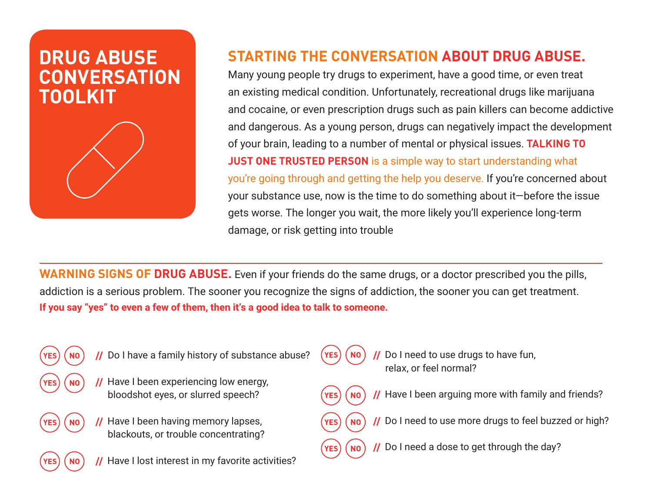# **DRUG ABUSE CONVERSATION TOOLKIT**



## **STARTING THE CONVERSATION ABOUT DRUG ABUSE.**

Many young people try drugs to experiment, have a good time, or even treat an existing medical condition. Unfortunately, recreational drugs like marijuana and cocaine, or even prescription drugs such as pain killers can become addictive and dangerous. As a young person, drugs can negatively impact the development of your brain, leading to a number of mental or physical issues. **TALKING TO JUST ONE TRUSTED PERSON** is a simple way to start understanding what you're going through and getting the help you deserve. If you're concerned about your substance use, now is the time to do something about it—before the issue gets worse. The longer you wait, the more likely you'll experience long-term damage, or risk getting into trouble

**WARNING SIGNS OF DRUG ABUSE.** Even if your friends do the same drugs, or a doctor prescribed you the pills, addiction is a serious problem. The sooner you recognize the signs of addiction, the sooner you can get treatment. **If you say "yes" to even a few of them, then it's a good idea to talk to someone.**

**YES** 

**YES** 

**YES** 

**NO** 

- - **//** Do I have a family history of substance abuse?
		- **//** Have I been experiencing low energy, bloodshot eyes, or slurred speech?
	- **NO** // Have I been having memory lapses, blackouts, or trouble concentrating?
		- **//** Have I lost interest in my favorite activities?
- Do I need to use drugs to have fun, relax, or feel normal?
- **//** Have I been arguing more with family and friends? **NO**
- **//** Do I need to use more drugs to feel buzzed or high? **NO**
- **//** Do I need a dose to get through the day?**NO**